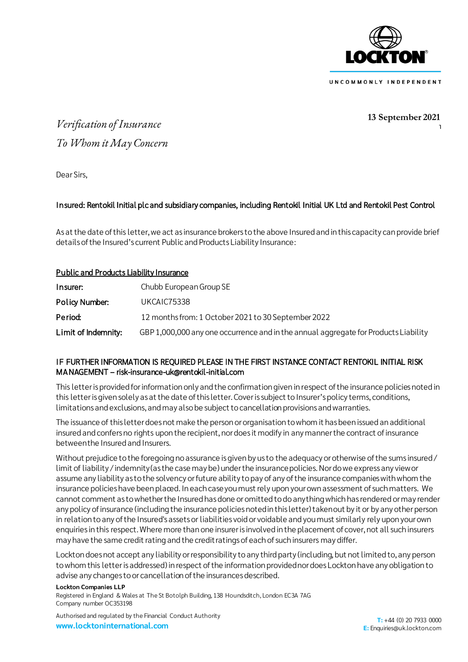

**13 September 2021**

 $\begin{array}{c} \n\end{array}$ 

# *Verification of Insurance To Whom it May Concern*

Dear Sirs,

## Insured: Rentokil Initial plc and subsidiary companies, including Rentokil Initial UK Ltd and Rentokil Pest Control

As at the date of this letter, we act as insurance brokers to the above Insured and in this capacity can provide brief details of the Insured's current Public and Products Liability Insurance:

### Public and Products Liability Insurance

| Insurer:            | Chubb European Group SE                                                             |
|---------------------|-------------------------------------------------------------------------------------|
| Policy Number:      | UKCAIC75338                                                                         |
| Period:             | 12 months from: 1 October 2021 to 30 September 2022                                 |
| Limit of Indemnity: | GBP 1,000,000 any one occurrence and in the annual aggregate for Products Liability |

### IF FURTHER INFORMATION IS REQUIRED PLEASE IN THE FIRST INSTANCE CONTACT RENTOKIL INITIAL RISK MANAGEMENT – risk-insurance-uk@rentokil-initial.com

This letter is provided for information only and the confirmation given in respect of the insurance policies noted in this letter is given solely as at the date of this letter. Cover is subject to Insurer's policy terms, conditions, limitations and exclusions, and may also be subject to cancellation provisions and warranties.

The issuance of this letter does not make the person or organisation to whom it has been issued an additional insured and confers no rights upon the recipient, nor does it modify in any manner the contract of insurance between the Insured and Insurers.

Without prejudice to the foregoing no assurance is given by us to the adequacy or otherwise of the sums insured/ limit of liability /indemnity (as the case may be) under the insurance policies. Nor do we express any view or assume any liability as to the solvency or future ability to pay of any of the insurance companies with whom the insurance policies have been placed. In each case you must rely upon your own assessment of such matters. We cannot comment as to whether the Insured has done or omitted to do anything which has rendered or may render any policy of insurance (including the insurance policies noted in this letter) taken out by it or by any other person in relation to any of the Insured's assets or liabilities void or voidable and you must similarly rely upon your own enquiries in this respect. Where more than one insurer is involved in the placement of cover, not all such insurers may have the same credit rating and the credit ratings of each of such insurers may differ.

Lockton does not accept any liability or responsibility to any third party (including, but not limited to, any person to whom this letter is addressed) in respect of the information provided nor does Lockton have any obligation to advise any changes to or cancellation of the insurances described.

#### **Lockton Companies LLP**

Registered in England & Wales at The St Botolph Building, 138 Houndsditch, London EC3A 7AG Company number OC353198

Authorised and regulated by the Financial Conduct Authority **www.locktoninternational.com**